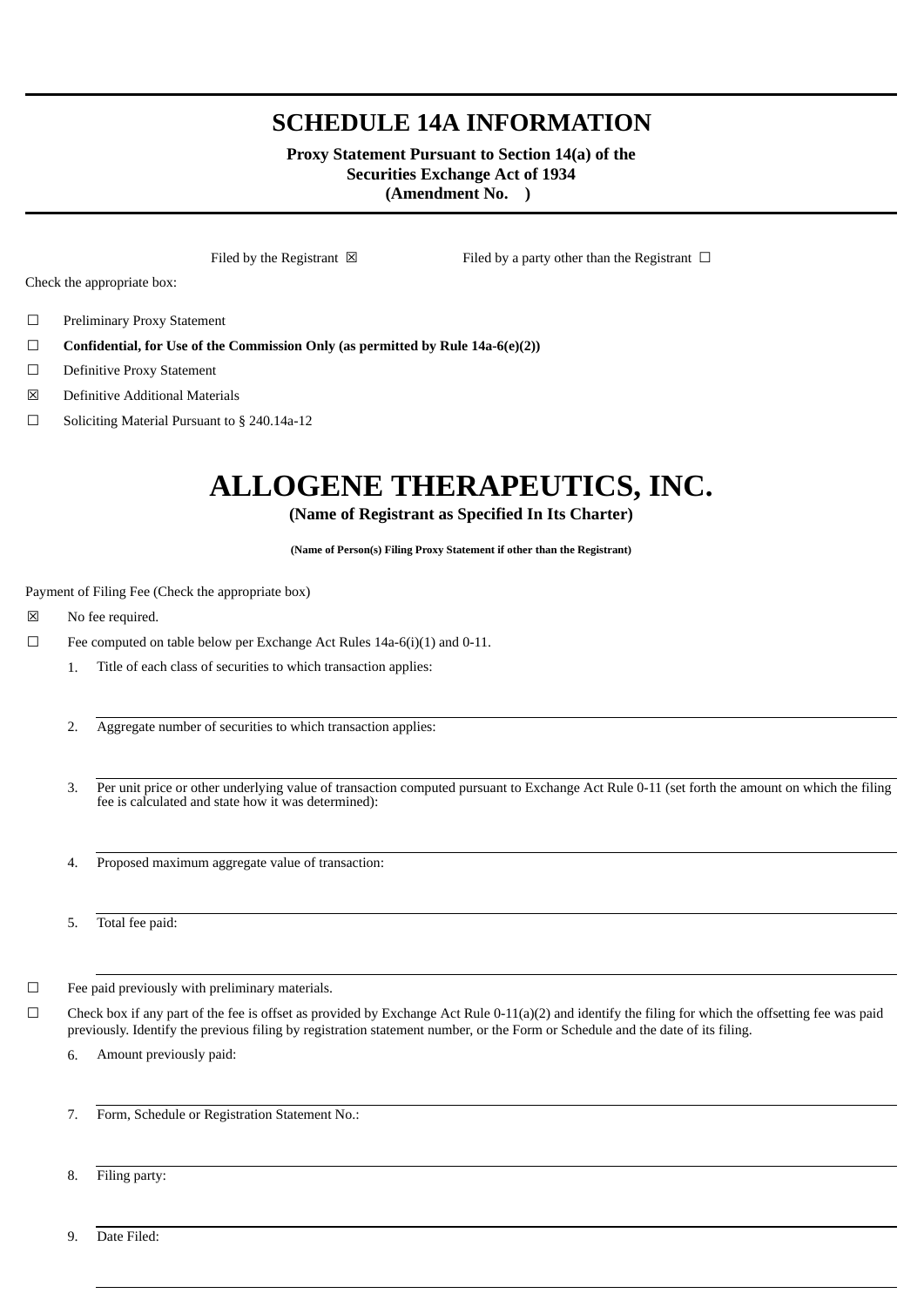## **SCHEDULE 14A INFORMATION**

#### **Proxy Statement Pursuant to Section 14(a) of the Securities Exchange Act of 1934 (Amendment No. )**

Filed by the Registrant  $\boxtimes$  Filed by a party other than the Registrant  $\Box$ 

Check the appropriate box:

- ☐ Preliminary Proxy Statement
- ☐ **Confidential, for Use of the Commission Only (as permitted by Rule 14a-6(e)(2))**
- ☐ Definitive Proxy Statement
- ☒ Definitive Additional Materials
- ☐ Soliciting Material Pursuant to § 240.14a-12

# **ALLOGENE THERAPEUTICS, INC.**

### **(Name of Registrant as Specified In Its Charter)**

**(Name of Person(s) Filing Proxy Statement if other than the Registrant)**

Payment of Filing Fee (Check the appropriate box)

- ☒ No fee required.
- $\Box$  Fee computed on table below per Exchange Act Rules 14a-6(i)(1) and 0-11.
	- 1. Title of each class of securities to which transaction applies:
	- 2. Aggregate number of securities to which transaction applies:
	- 3. Per unit price or other underlying value of transaction computed pursuant to Exchange Act Rule 0-11 (set forth the amount on which the filing fee is calculated and state how it was determined):
	- 4. Proposed maximum aggregate value of transaction:
	- 5. Total fee paid:
- ☐ Fee paid previously with preliminary materials.
- $\Box$  Check box if any part of the fee is offset as provided by Exchange Act Rule 0-11(a)(2) and identify the filing for which the offsetting fee was paid previously. Identify the previous filing by registration statement number, or the Form or Schedule and the date of its filing.
	- 6. Amount previously paid:
	- 7. Form, Schedule or Registration Statement No.:
	- 8. Filing party:

9. Date Filed: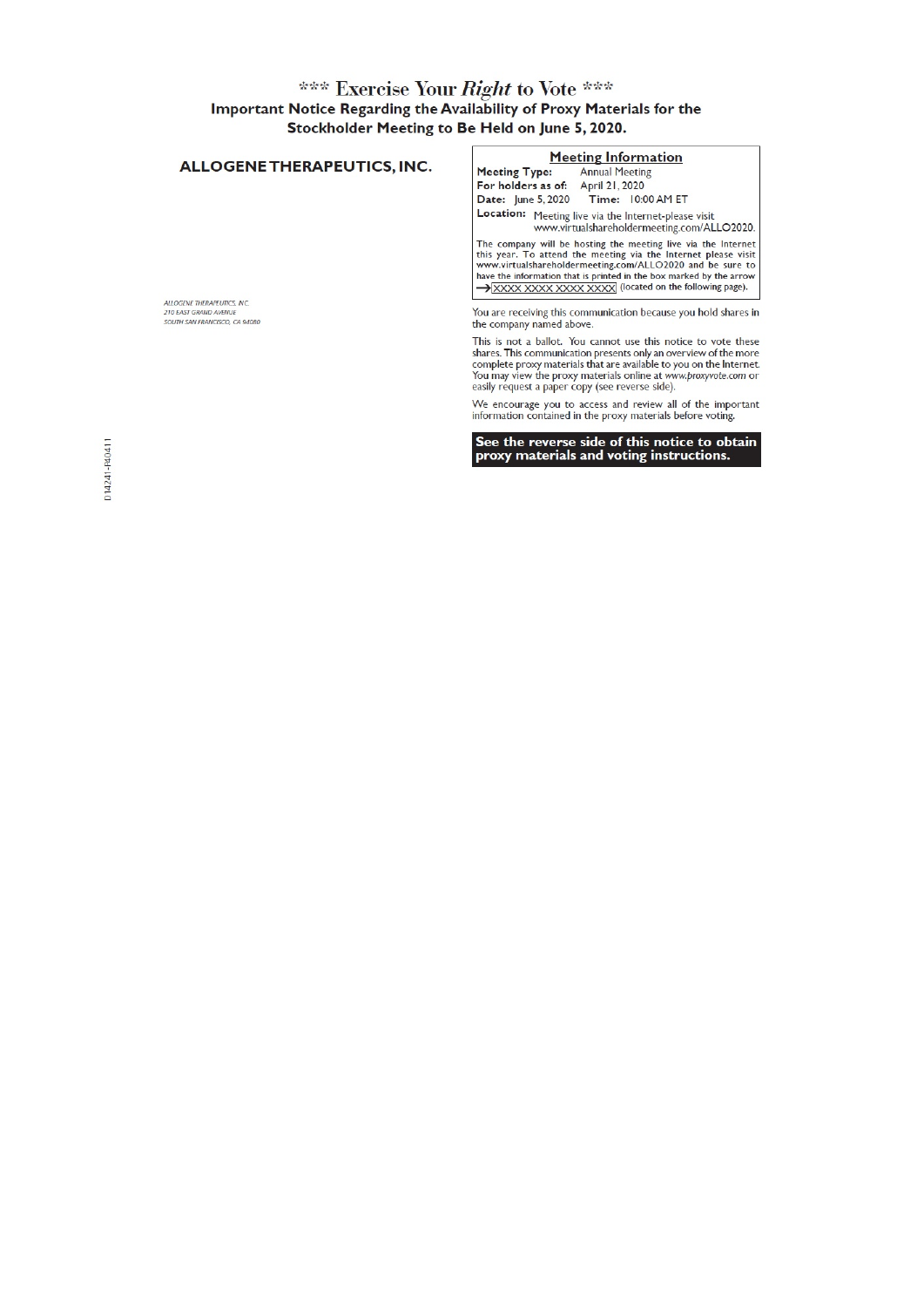# \*\*\* Exercise Your *Right* to Vote \*\*\*<br>Important Notice Regarding the Availability of Proxy Materials for the Stockholder Meeting to Be Held on June 5, 2020.

| ALLOGENE THERAPEUTICS, INC.                                                           | <b>Meeting Information</b><br><b>Annual Meeting</b><br><b>Meeting Type:</b>                                                                                                                                                                                                                                                     |
|---------------------------------------------------------------------------------------|---------------------------------------------------------------------------------------------------------------------------------------------------------------------------------------------------------------------------------------------------------------------------------------------------------------------------------|
| ALLOGENE THERAPEUTICS, INC.<br>210 EAST GRAND AVENUE<br>SOUTH SAN FRANCISCO, CA 94080 | For holders as of: April 21, 2020<br>Date: June 5, 2020 Time: 10:00 AM ET                                                                                                                                                                                                                                                       |
|                                                                                       | Location: Meeting live via the Internet-please visit<br>www.virtualshareholdermeeting.com/ALLO2020.                                                                                                                                                                                                                             |
|                                                                                       | The company will be hosting the meeting live via the Internet<br>this year. To attend the meeting via the Internet please visit<br>www.virtualshareholdermeeting.com/ALLO2020 and be sure to<br>have the information that is printed in the box marked by the arrow<br>XXXX XXXX XXXX XXXX (located on the following page).     |
|                                                                                       | You are receiving this communication because you hold shares in<br>the company named above.                                                                                                                                                                                                                                     |
|                                                                                       | This is not a ballot. You cannot use this notice to vote these<br>shares. This communication presents only an overview of the more<br>complete proxy materials that are available to you on the Internet.<br>You may view the proxy materials online at www.proxyvote.com or<br>easily request a paper copy (see reverse side). |
|                                                                                       | We encourage you to access and review all of the important<br>information contained in the proxy materials before voting.                                                                                                                                                                                                       |

See the reverse side of this notice to obtain<br>proxy materials and voting instructions.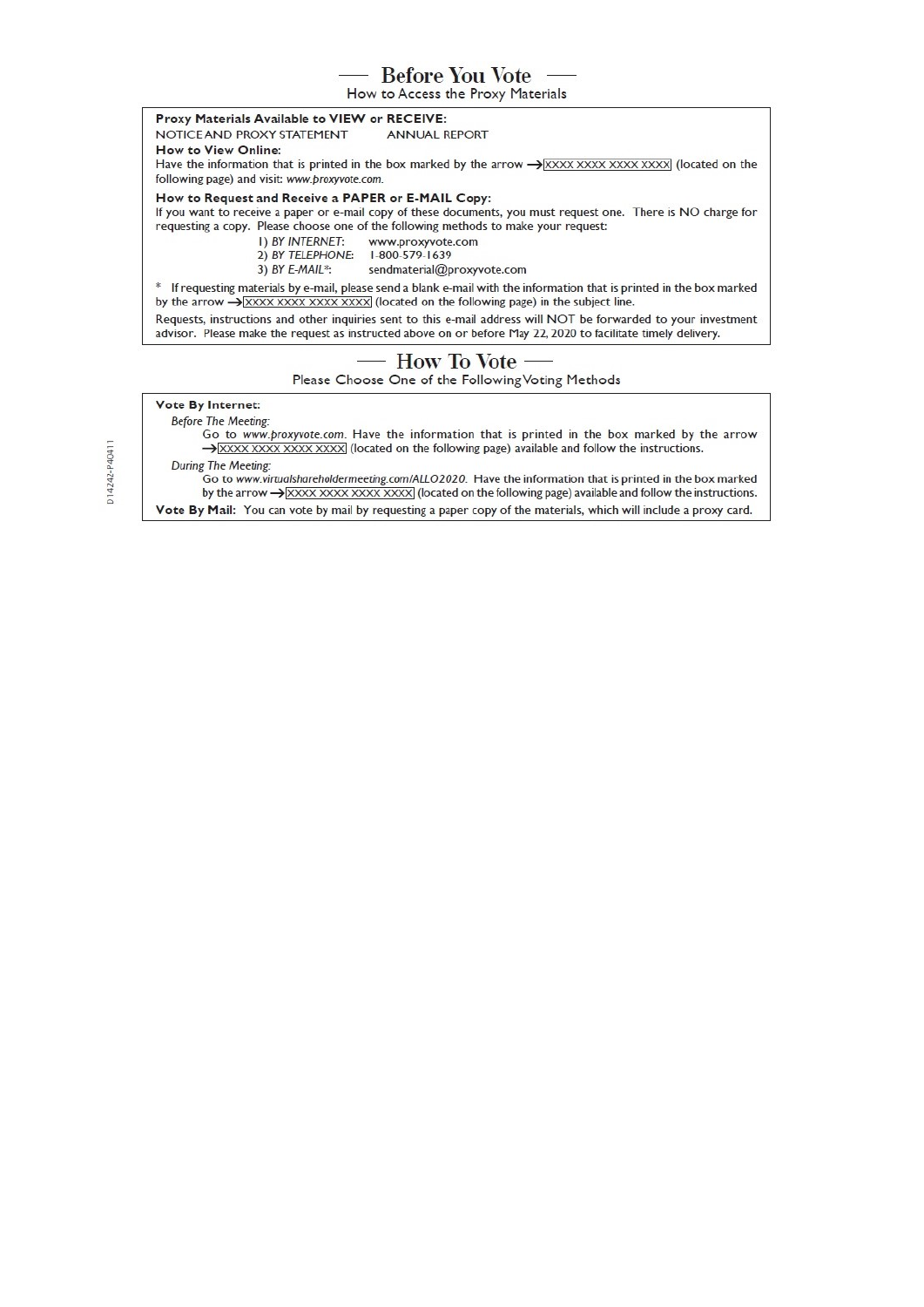- Before You Vote

How to Access the Proxy Materials

Proxy Materials Available to VIEW or RECEIVE:

**ANNUAL REPORT** NOTICE AND PROXY STATEMENT How to View Online: Have the information that is printed in the box marked by the arrow  $\rightarrow$  XXXX XXXX XXXX (located on the following page) and visit: www.proxyvote.com. How to Request and Receive a PAPER or E-MAIL Copy:

If you want to receive a paper or e-mail copy of these documents, you must request one. There is NO charge for requesting a copy. Please choose one of the following methods to make your request:

- I) BY INTERNET: www.proxyvote.com
- 2) BY TELEPHONE: 1-800-579-1639

3) BY E-MAIL\*: sendmaterial@proxyvote.com

\* If requesting materials by e-mail, please send a blank e-mail with the information that is printed in the box marked by the arrow  $\rightarrow \frac{\sqrt{xxxx} xxxx}{xxxx}$  (located on the following page) in the subject line.

Requests, instructions and other inquiries sent to this e-mail address will NOT be forwarded to your investment advisor. Please make the request as instructed above on or before May 22, 2020 to facilitate timely delivery.

#### How To Vote

Please Choose One of the Following Voting Methods

### Vote By Internet:

**Before The Meeting:** 

Go to www.proxyvote.com. Have the information that is printed in the box marked by the arrow >XXXX XXXX XXXX XXXX (located on the following page) available and follow the instructions.

During The Meeting: Go to www.virtualshareholdermeeting.com/ALLO2020. Have the information that is printed in the box marked by the arrow  $\rightarrow$  XXXX XXXX XXXX XXXX (located on the following page) available and follow the instructions.

Vote By Mail: You can vote by mail by requesting a paper copy of the materials, which will include a proxy card.

D14242-P40411